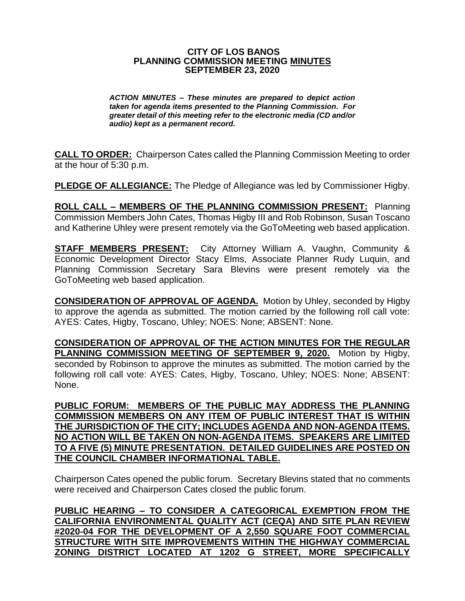## **CITY OF LOS BANOS PLANNING COMMISSION MEETING MINUTES SEPTEMBER 23, 2020**

*ACTION MINUTES – These minutes are prepared to depict action taken for agenda items presented to the Planning Commission. For greater detail of this meeting refer to the electronic media (CD and/or audio) kept as a permanent record.*

**CALL TO ORDER:** Chairperson Cates called the Planning Commission Meeting to order at the hour of 5:30 p.m.

**PLEDGE OF ALLEGIANCE:** The Pledge of Allegiance was led by Commissioner Higby.

**ROLL CALL – MEMBERS OF THE PLANNING COMMISSION PRESENT:** Planning Commission Members John Cates, Thomas Higby III and Rob Robinson, Susan Toscano and Katherine Uhley were present remotely via the GoToMeeting web based application.

**STAFF MEMBERS PRESENT:** City Attorney William A. Vaughn, Community & Economic Development Director Stacy Elms, Associate Planner Rudy Luquin, and Planning Commission Secretary Sara Blevins were present remotely via the GoToMeeting web based application.

**CONSIDERATION OF APPROVAL OF AGENDA.** Motion by Uhley, seconded by Higby to approve the agenda as submitted. The motion carried by the following roll call vote: AYES: Cates, Higby, Toscano, Uhley; NOES: None; ABSENT: None.

**CONSIDERATION OF APPROVAL OF THE ACTION MINUTES FOR THE REGULAR PLANNING COMMISSION MEETING OF SEPTEMBER 9, 2020.** Motion by Higby, seconded by Robinson to approve the minutes as submitted. The motion carried by the following roll call vote: AYES: Cates, Higby, Toscano, Uhley; NOES: None; ABSENT: None.

**PUBLIC FORUM: MEMBERS OF THE PUBLIC MAY ADDRESS THE PLANNING COMMISSION MEMBERS ON ANY ITEM OF PUBLIC INTEREST THAT IS WITHIN THE JURISDICTION OF THE CITY; INCLUDES AGENDA AND NON-AGENDA ITEMS. NO ACTION WILL BE TAKEN ON NON-AGENDA ITEMS. SPEAKERS ARE LIMITED TO A FIVE (5) MINUTE PRESENTATION. DETAILED GUIDELINES ARE POSTED ON THE COUNCIL CHAMBER INFORMATIONAL TABLE.**

Chairperson Cates opened the public forum. Secretary Blevins stated that no comments were received and Chairperson Cates closed the public forum.

**PUBLIC HEARING – TO CONSIDER A CATEGORICAL EXEMPTION FROM THE CALIFORNIA ENVIRONMENTAL QUALITY ACT (CEQA) AND SITE PLAN REVIEW #2020-04 FOR THE DEVELOPMENT OF A 2,550 SQUARE FOOT COMMERCIAL STRUCTURE WITH SITE IMPROVEMENTS WITHIN THE HIGHWAY COMMERCIAL ZONING DISTRICT LOCATED AT 1202 G STREET, MORE SPECIFICALLY**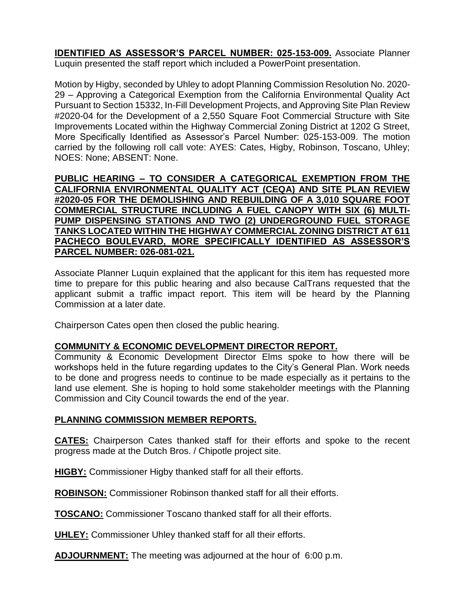**IDENTIFIED AS ASSESSOR'S PARCEL NUMBER: 025-153-009.** Associate Planner Luquin presented the staff report which included a PowerPoint presentation.

Motion by Higby, seconded by Uhley to adopt Planning Commission Resolution No. 2020- 29 – Approving a Categorical Exemption from the California Environmental Quality Act Pursuant to Section 15332, In-Fill Development Projects, and Approving Site Plan Review #2020-04 for the Development of a 2,550 Square Foot Commercial Structure with Site Improvements Located within the Highway Commercial Zoning District at 1202 G Street, More Specifically Identified as Assessor's Parcel Number: 025-153-009. The motion carried by the following roll call vote: AYES: Cates, Higby, Robinson, Toscano, Uhley; NOES: None; ABSENT: None.

**PUBLIC HEARING – TO CONSIDER A CATEGORICAL EXEMPTION FROM THE CALIFORNIA ENVIRONMENTAL QUALITY ACT (CEQA) AND SITE PLAN REVIEW #2020-05 FOR THE DEMOLISHING AND REBUILDING OF A 3,010 SQUARE FOOT COMMERCIAL STRUCTURE INCLUDING A FUEL CANOPY WITH SIX (6) MULTI-PUMP DISPENSING STATIONS AND TWO (2) UNDERGROUND FUEL STORAGE TANKS LOCATED WITHIN THE HIGHWAY COMMERCIAL ZONING DISTRICT AT 611 PACHECO BOULEVARD, MORE SPECIFICALLY IDENTIFIED AS ASSESSOR'S PARCEL NUMBER: 026-081-021.**

Associate Planner Luquin explained that the applicant for this item has requested more time to prepare for this public hearing and also because CalTrans requested that the applicant submit a traffic impact report. This item will be heard by the Planning Commission at a later date.

Chairperson Cates open then closed the public hearing.

## **COMMUNITY & ECONOMIC DEVELOPMENT DIRECTOR REPORT.**

Community & Economic Development Director Elms spoke to how there will be workshops held in the future regarding updates to the City's General Plan. Work needs to be done and progress needs to continue to be made especially as it pertains to the land use element. She is hoping to hold some stakeholder meetings with the Planning Commission and City Council towards the end of the year.

## **PLANNING COMMISSION MEMBER REPORTS.**

**CATES:** Chairperson Cates thanked staff for their efforts and spoke to the recent progress made at the Dutch Bros. / Chipotle project site.

**HIGBY:** Commissioner Higby thanked staff for all their efforts.

**ROBINSON:** Commissioner Robinson thanked staff for all their efforts.

**TOSCANO:** Commissioner Toscano thanked staff for all their efforts.

**UHLEY:** Commissioner Uhley thanked staff for all their efforts.

**ADJOURNMENT:** The meeting was adjourned at the hour of 6:00 p.m.